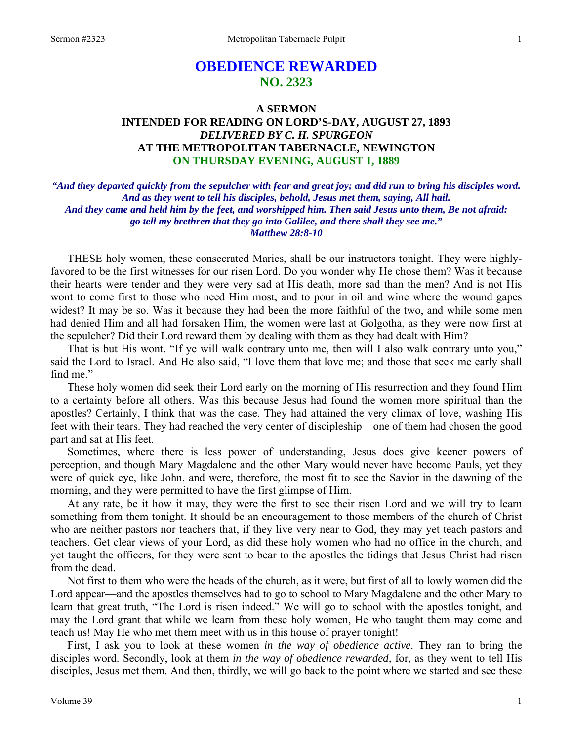# **OBEDIENCE REWARDED NO. 2323**

### **A SERMON INTENDED FOR READING ON LORD'S-DAY, AUGUST 27, 1893**  *DELIVERED BY C. H. SPURGEON*  **AT THE METROPOLITAN TABERNACLE, NEWINGTON ON THURSDAY EVENING, AUGUST 1, 1889**

*"And they departed quickly from the sepulcher with fear and great joy; and did run to bring his disciples word. And as they went to tell his disciples, behold, Jesus met them, saying, All hail. And they came and held him by the feet, and worshipped him. Then said Jesus unto them, Be not afraid: go tell my brethren that they go into Galilee, and there shall they see me." Matthew 28:8-10* 

THESE holy women, these consecrated Maries, shall be our instructors tonight. They were highlyfavored to be the first witnesses for our risen Lord. Do you wonder why He chose them? Was it because their hearts were tender and they were very sad at His death, more sad than the men? And is not His wont to come first to those who need Him most, and to pour in oil and wine where the wound gapes widest? It may be so. Was it because they had been the more faithful of the two, and while some men had denied Him and all had forsaken Him, the women were last at Golgotha, as they were now first at the sepulcher? Did their Lord reward them by dealing with them as they had dealt with Him?

That is but His wont. "If ye will walk contrary unto me, then will I also walk contrary unto you," said the Lord to Israel. And He also said, "I love them that love me; and those that seek me early shall find me."

These holy women did seek their Lord early on the morning of His resurrection and they found Him to a certainty before all others. Was this because Jesus had found the women more spiritual than the apostles? Certainly, I think that was the case. They had attained the very climax of love, washing His feet with their tears. They had reached the very center of discipleship—one of them had chosen the good part and sat at His feet.

Sometimes, where there is less power of understanding, Jesus does give keener powers of perception, and though Mary Magdalene and the other Mary would never have become Pauls, yet they were of quick eye, like John, and were, therefore, the most fit to see the Savior in the dawning of the morning, and they were permitted to have the first glimpse of Him.

At any rate, be it how it may, they were the first to see their risen Lord and we will try to learn something from them tonight. It should be an encouragement to those members of the church of Christ who are neither pastors nor teachers that, if they live very near to God, they may yet teach pastors and teachers. Get clear views of your Lord, as did these holy women who had no office in the church, and yet taught the officers, for they were sent to bear to the apostles the tidings that Jesus Christ had risen from the dead.

Not first to them who were the heads of the church, as it were, but first of all to lowly women did the Lord appear—and the apostles themselves had to go to school to Mary Magdalene and the other Mary to learn that great truth, "The Lord is risen indeed." We will go to school with the apostles tonight, and may the Lord grant that while we learn from these holy women, He who taught them may come and teach us! May He who met them meet with us in this house of prayer tonight!

First, I ask you to look at these women *in the way of obedience active*. They ran to bring the disciples word. Secondly, look at them *in the way of obedience rewarded,* for, as they went to tell His disciples, Jesus met them. And then, thirdly, we will go back to the point where we started and see these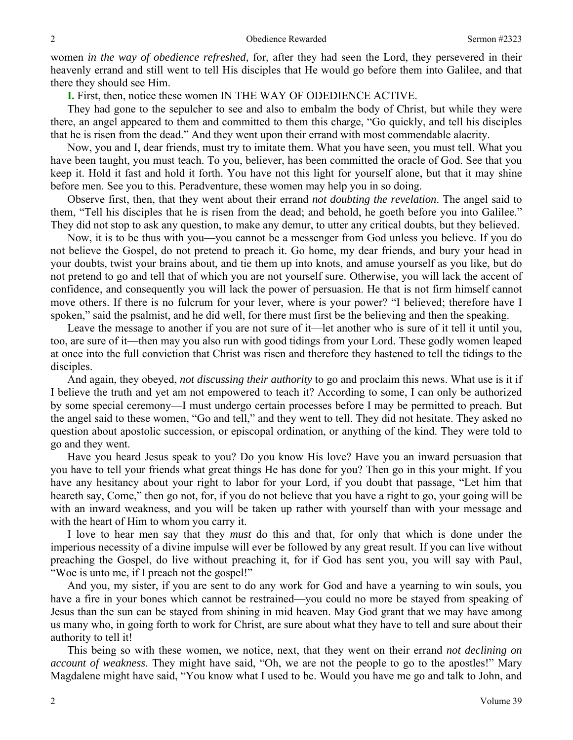women *in the way of obedience refreshed,* for, after they had seen the Lord, they persevered in their heavenly errand and still went to tell His disciples that He would go before them into Galilee, and that there they should see Him.

**I.** First, then, notice these women IN THE WAY OF ODEDIENCE ACTIVE.

They had gone to the sepulcher to see and also to embalm the body of Christ, but while they were there, an angel appeared to them and committed to them this charge, "Go quickly, and tell his disciples that he is risen from the dead." And they went upon their errand with most commendable alacrity.

Now, you and I, dear friends, must try to imitate them. What you have seen, you must tell. What you have been taught, you must teach. To you, believer, has been committed the oracle of God. See that you keep it. Hold it fast and hold it forth. You have not this light for yourself alone, but that it may shine before men. See you to this. Peradventure, these women may help you in so doing.

Observe first, then, that they went about their errand *not doubting the revelation*. The angel said to them, "Tell his disciples that he is risen from the dead; and behold, he goeth before you into Galilee." They did not stop to ask any question, to make any demur, to utter any critical doubts, but they believed.

Now, it is to be thus with you—you cannot be a messenger from God unless you believe. If you do not believe the Gospel, do not pretend to preach it. Go home, my dear friends, and bury your head in your doubts, twist your brains about, and tie them up into knots, and amuse yourself as you like, but do not pretend to go and tell that of which you are not yourself sure. Otherwise, you will lack the accent of confidence, and consequently you will lack the power of persuasion. He that is not firm himself cannot move others. If there is no fulcrum for your lever, where is your power? "I believed; therefore have I spoken," said the psalmist, and he did well, for there must first be the believing and then the speaking.

Leave the message to another if you are not sure of it—let another who is sure of it tell it until you, too, are sure of it—then may you also run with good tidings from your Lord. These godly women leaped at once into the full conviction that Christ was risen and therefore they hastened to tell the tidings to the disciples.

And again, they obeyed, *not discussing their authority* to go and proclaim this news. What use is it if I believe the truth and yet am not empowered to teach it? According to some, I can only be authorized by some special ceremony—I must undergo certain processes before I may be permitted to preach. But the angel said to these women, "Go and tell," and they went to tell. They did not hesitate. They asked no question about apostolic succession, or episcopal ordination, or anything of the kind. They were told to go and they went.

Have you heard Jesus speak to you? Do you know His love? Have you an inward persuasion that you have to tell your friends what great things He has done for you? Then go in this your might. If you have any hesitancy about your right to labor for your Lord, if you doubt that passage, "Let him that heareth say, Come," then go not, for, if you do not believe that you have a right to go, your going will be with an inward weakness, and you will be taken up rather with yourself than with your message and with the heart of Him to whom you carry it.

I love to hear men say that they *must* do this and that, for only that which is done under the imperious necessity of a divine impulse will ever be followed by any great result. If you can live without preaching the Gospel, do live without preaching it, for if God has sent you, you will say with Paul, "Woe is unto me, if I preach not the gospel!"

And you, my sister, if you are sent to do any work for God and have a yearning to win souls, you have a fire in your bones which cannot be restrained—you could no more be stayed from speaking of Jesus than the sun can be stayed from shining in mid heaven. May God grant that we may have among us many who, in going forth to work for Christ, are sure about what they have to tell and sure about their authority to tell it!

This being so with these women, we notice, next, that they went on their errand *not declining on account of weakness*. They might have said, "Oh, we are not the people to go to the apostles!" Mary Magdalene might have said, "You know what I used to be. Would you have me go and talk to John, and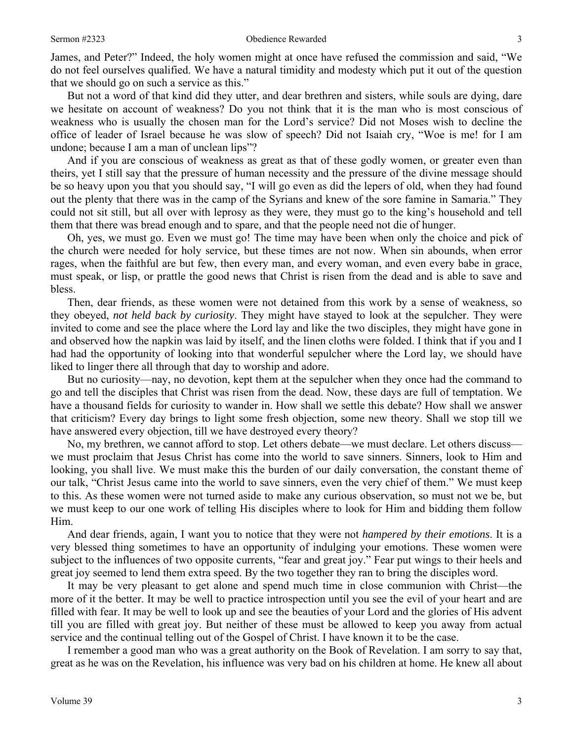James, and Peter?" Indeed, the holy women might at once have refused the commission and said, "We do not feel ourselves qualified. We have a natural timidity and modesty which put it out of the question that we should go on such a service as this."

But not a word of that kind did they utter, and dear brethren and sisters, while souls are dying, dare we hesitate on account of weakness? Do you not think that it is the man who is most conscious of weakness who is usually the chosen man for the Lord's service? Did not Moses wish to decline the office of leader of Israel because he was slow of speech? Did not Isaiah cry, "Woe is me! for I am undone; because I am a man of unclean lips"?

And if you are conscious of weakness as great as that of these godly women, or greater even than theirs, yet I still say that the pressure of human necessity and the pressure of the divine message should be so heavy upon you that you should say, "I will go even as did the lepers of old, when they had found out the plenty that there was in the camp of the Syrians and knew of the sore famine in Samaria." They could not sit still, but all over with leprosy as they were, they must go to the king's household and tell them that there was bread enough and to spare, and that the people need not die of hunger.

Oh, yes, we must go. Even we must go! The time may have been when only the choice and pick of the church were needed for holy service, but these times are not now. When sin abounds, when error rages, when the faithful are but few, then every man, and every woman, and even every babe in grace, must speak, or lisp, or prattle the good news that Christ is risen from the dead and is able to save and bless.

Then, dear friends, as these women were not detained from this work by a sense of weakness, so they obeyed, *not held back by curiosity*. They might have stayed to look at the sepulcher. They were invited to come and see the place where the Lord lay and like the two disciples, they might have gone in and observed how the napkin was laid by itself, and the linen cloths were folded. I think that if you and I had had the opportunity of looking into that wonderful sepulcher where the Lord lay, we should have liked to linger there all through that day to worship and adore.

But no curiosity—nay, no devotion, kept them at the sepulcher when they once had the command to go and tell the disciples that Christ was risen from the dead. Now, these days are full of temptation. We have a thousand fields for curiosity to wander in. How shall we settle this debate? How shall we answer that criticism? Every day brings to light some fresh objection, some new theory. Shall we stop till we have answered every objection, till we have destroyed every theory?

No, my brethren, we cannot afford to stop. Let others debate—we must declare. Let others discuss we must proclaim that Jesus Christ has come into the world to save sinners. Sinners, look to Him and looking, you shall live. We must make this the burden of our daily conversation, the constant theme of our talk, "Christ Jesus came into the world to save sinners, even the very chief of them." We must keep to this. As these women were not turned aside to make any curious observation, so must not we be, but we must keep to our one work of telling His disciples where to look for Him and bidding them follow Him.

And dear friends, again, I want you to notice that they were not *hampered by their emotions*. It is a very blessed thing sometimes to have an opportunity of indulging your emotions. These women were subject to the influences of two opposite currents, "fear and great joy." Fear put wings to their heels and great joy seemed to lend them extra speed. By the two together they ran to bring the disciples word.

It may be very pleasant to get alone and spend much time in close communion with Christ—the more of it the better. It may be well to practice introspection until you see the evil of your heart and are filled with fear. It may be well to look up and see the beauties of your Lord and the glories of His advent till you are filled with great joy. But neither of these must be allowed to keep you away from actual service and the continual telling out of the Gospel of Christ. I have known it to be the case.

I remember a good man who was a great authority on the Book of Revelation. I am sorry to say that, great as he was on the Revelation, his influence was very bad on his children at home. He knew all about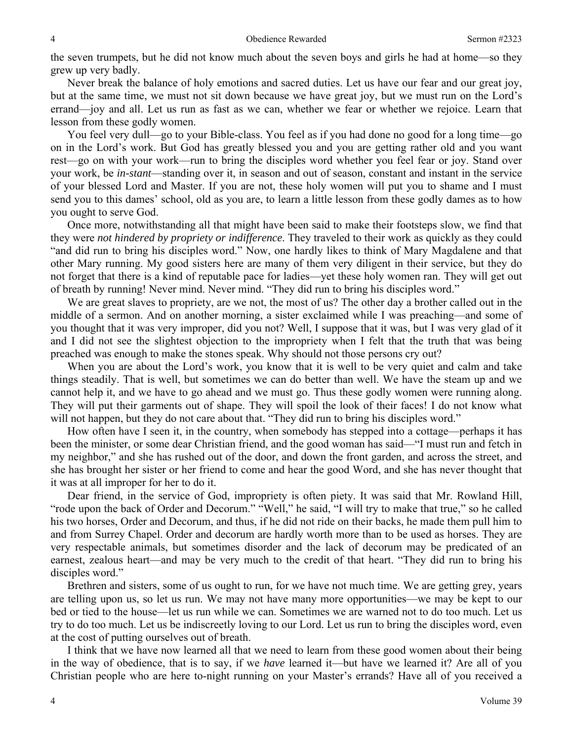the seven trumpets, but he did not know much about the seven boys and girls he had at home—so they grew up very badly.

Never break the balance of holy emotions and sacred duties. Let us have our fear and our great joy, but at the same time, we must not sit down because we have great joy, but we must run on the Lord's errand—joy and all. Let us run as fast as we can, whether we fear or whether we rejoice. Learn that lesson from these godly women.

You feel very dull—go to your Bible-class. You feel as if you had done no good for a long time—go on in the Lord's work. But God has greatly blessed you and you are getting rather old and you want rest—go on with your work—run to bring the disciples word whether you feel fear or joy. Stand over your work, be *in-stant*—standing over it, in season and out of season, constant and instant in the service of your blessed Lord and Master. If you are not, these holy women will put you to shame and I must send you to this dames' school, old as you are, to learn a little lesson from these godly dames as to how you ought to serve God.

Once more, notwithstanding all that might have been said to make their footsteps slow, we find that they were *not hindered by propriety or indifference*. They traveled to their work as quickly as they could "and did run to bring his disciples word." Now, one hardly likes to think of Mary Magdalene and that other Mary running. My good sisters here are many of them very diligent in their service, but they do not forget that there is a kind of reputable pace for ladies—yet these holy women ran. They will get out of breath by running! Never mind. Never mind. "They did run to bring his disciples word."

We are great slaves to propriety, are we not, the most of us? The other day a brother called out in the middle of a sermon. And on another morning, a sister exclaimed while I was preaching—and some of you thought that it was very improper, did you not? Well, I suppose that it was, but I was very glad of it and I did not see the slightest objection to the impropriety when I felt that the truth that was being preached was enough to make the stones speak. Why should not those persons cry out?

When you are about the Lord's work, you know that it is well to be very quiet and calm and take things steadily. That is well, but sometimes we can do better than well. We have the steam up and we cannot help it, and we have to go ahead and we must go. Thus these godly women were running along. They will put their garments out of shape. They will spoil the look of their faces! I do not know what will not happen, but they do not care about that. "They did run to bring his disciples word."

How often have I seen it, in the country, when somebody has stepped into a cottage—perhaps it has been the minister, or some dear Christian friend, and the good woman has said—"I must run and fetch in my neighbor," and she has rushed out of the door, and down the front garden, and across the street, and she has brought her sister or her friend to come and hear the good Word, and she has never thought that it was at all improper for her to do it.

Dear friend, in the service of God, impropriety is often piety. It was said that Mr. Rowland Hill, "rode upon the back of Order and Decorum." "Well," he said, "I will try to make that true," so he called his two horses, Order and Decorum, and thus, if he did not ride on their backs, he made them pull him to and from Surrey Chapel. Order and decorum are hardly worth more than to be used as horses. They are very respectable animals, but sometimes disorder and the lack of decorum may be predicated of an earnest, zealous heart—and may be very much to the credit of that heart. "They did run to bring his disciples word."

Brethren and sisters, some of us ought to run, for we have not much time. We are getting grey, years are telling upon us, so let us run. We may not have many more opportunities—we may be kept to our bed or tied to the house—let us run while we can. Sometimes we are warned not to do too much. Let us try to do too much. Let us be indiscreetly loving to our Lord. Let us run to bring the disciples word, even at the cost of putting ourselves out of breath.

I think that we have now learned all that we need to learn from these good women about their being in the way of obedience, that is to say, if we *have* learned it—but have we learned it? Are all of you Christian people who are here to-night running on your Master's errands? Have all of you received a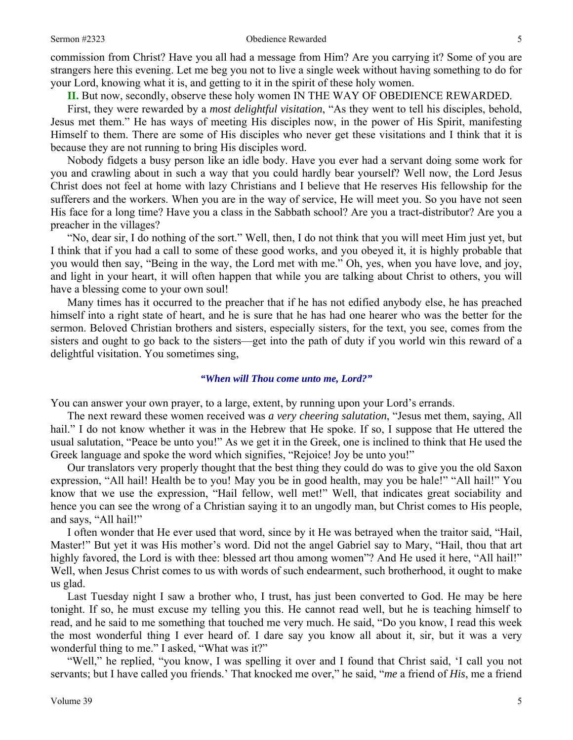commission from Christ? Have you all had a message from Him? Are you carrying it? Some of you are strangers here this evening. Let me beg you not to live a single week without having something to do for your Lord, knowing what it is, and getting to it in the spirit of these holy women.

**II.** But now, secondly, observe these holy women IN THE WAY OF OBEDIENCE REWARDED.

First, they were rewarded by a *most delightful visitation*, "As they went to tell his disciples, behold, Jesus met them." He has ways of meeting His disciples now, in the power of His Spirit, manifesting Himself to them. There are some of His disciples who never get these visitations and I think that it is because they are not running to bring His disciples word.

Nobody fidgets a busy person like an idle body. Have you ever had a servant doing some work for you and crawling about in such a way that you could hardly bear yourself? Well now, the Lord Jesus Christ does not feel at home with lazy Christians and I believe that He reserves His fellowship for the sufferers and the workers. When you are in the way of service, He will meet you. So you have not seen His face for a long time? Have you a class in the Sabbath school? Are you a tract-distributor? Are you a preacher in the villages?

"No, dear sir, I do nothing of the sort." Well, then, I do not think that you will meet Him just yet, but I think that if you had a call to some of these good works, and you obeyed it, it is highly probable that you would then say, "Being in the way, the Lord met with me." Oh, yes, when you have love, and joy, and light in your heart, it will often happen that while you are talking about Christ to others, you will have a blessing come to your own soul!

Many times has it occurred to the preacher that if he has not edified anybody else, he has preached himself into a right state of heart, and he is sure that he has had one hearer who was the better for the sermon. Beloved Christian brothers and sisters, especially sisters, for the text, you see, comes from the sisters and ought to go back to the sisters—get into the path of duty if you world win this reward of a delightful visitation. You sometimes sing,

#### *"When will Thou come unto me, Lord?"*

You can answer your own prayer, to a large, extent, by running upon your Lord's errands.

The next reward these women received was *a very cheering salutation*, "Jesus met them, saying, All hail." I do not know whether it was in the Hebrew that He spoke. If so, I suppose that He uttered the usual salutation, "Peace be unto you!" As we get it in the Greek, one is inclined to think that He used the Greek language and spoke the word which signifies, "Rejoice! Joy be unto you!"

Our translators very properly thought that the best thing they could do was to give you the old Saxon expression, "All hail! Health be to you! May you be in good health, may you be hale!" "All hail!" You know that we use the expression, "Hail fellow, well met!" Well, that indicates great sociability and hence you can see the wrong of a Christian saying it to an ungodly man, but Christ comes to His people, and says, "All hail!"

I often wonder that He ever used that word, since by it He was betrayed when the traitor said, "Hail, Master!" But yet it was His mother's word. Did not the angel Gabriel say to Mary, "Hail, thou that art highly favored, the Lord is with thee: blessed art thou among women"? And He used it here, "All hail!" Well, when Jesus Christ comes to us with words of such endearment, such brotherhood, it ought to make us glad.

 Last Tuesday night I saw a brother who, I trust, has just been converted to God. He may be here tonight. If so, he must excuse my telling you this. He cannot read well, but he is teaching himself to read, and he said to me something that touched me very much. He said, "Do you know, I read this week the most wonderful thing I ever heard of. I dare say you know all about it, sir, but it was a very wonderful thing to me." I asked, "What was it?"

 "Well," he replied, "you know, I was spelling it over and I found that Christ said, 'I call you not servants; but I have called you friends.' That knocked me over," he said, "*me* a friend of *His*, me a friend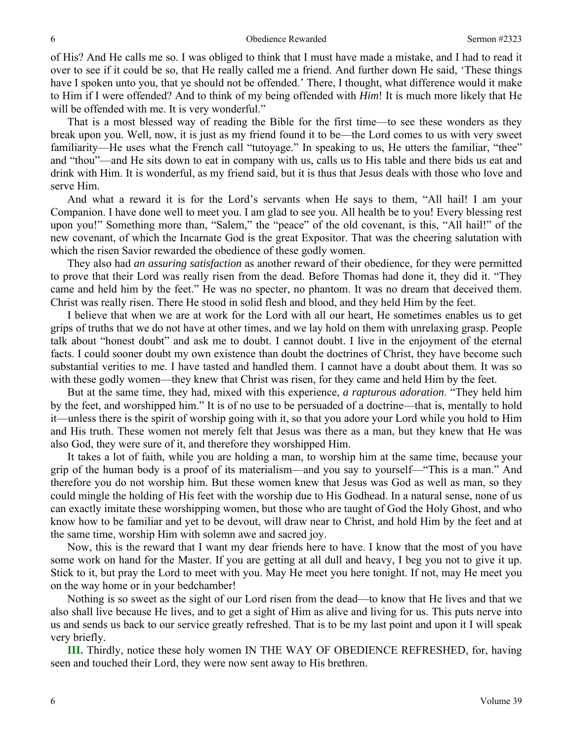of His? And He calls me so. I was obliged to think that I must have made a mistake, and I had to read it over to see if it could be so, that He really called me a friend. And further down He said, 'These things have I spoken unto you, that ye should not be offended.' There, I thought, what difference would it make to Him if I were offended? And to think of my being offended with *Him*! It is much more likely that He will be offended with me. It is very wonderful."

That is a most blessed way of reading the Bible for the first time—to see these wonders as they break upon you. Well, now, it is just as my friend found it to be—the Lord comes to us with very sweet familiarity—He uses what the French call "tutoyage." In speaking to us, He utters the familiar, "thee" and "thou"—and He sits down to eat in company with us, calls us to His table and there bids us eat and drink with Him. It is wonderful, as my friend said, but it is thus that Jesus deals with those who love and serve Him.

And what a reward it is for the Lord's servants when He says to them, "All hail! I am your Companion. I have done well to meet you. I am glad to see you. All health be to you! Every blessing rest upon you!" Something more than, "Salem," the "peace" of the old covenant, is this, "All hail!" of the new covenant, of which the Incarnate God is the great Expositor. That was the cheering salutation with which the risen Savior rewarded the obedience of these godly women.

They also had *an assuring satisfaction* as another reward of their obedience, for they were permitted to prove that their Lord was really risen from the dead. Before Thomas had done it, they did it. "They came and held him by the feet." He was no specter, no phantom. It was no dream that deceived them. Christ was really risen. There He stood in solid flesh and blood, and they held Him by the feet.

I believe that when we are at work for the Lord with all our heart, He sometimes enables us to get grips of truths that we do not have at other times, and we lay hold on them with unrelaxing grasp. People talk about "honest doubt" and ask me to doubt. I cannot doubt. I live in the enjoyment of the eternal facts. I could sooner doubt my own existence than doubt the doctrines of Christ, they have become such substantial verities to me. I have tasted and handled them. I cannot have a doubt about them. It was so with these godly women—they knew that Christ was risen, for they came and held Him by the feet.

But at the same time, they had, mixed with this experience, *a rapturous adoration*. "They held him by the feet, and worshipped him." It is of no use to be persuaded of a doctrine—that is, mentally to hold it—unless there is the spirit of worship going with it, so that you adore your Lord while you hold to Him and His truth. These women not merely felt that Jesus was there as a man, but they knew that He was also God, they were sure of it, and therefore they worshipped Him.

It takes a lot of faith, while you are holding a man, to worship him at the same time, because your grip of the human body is a proof of its materialism—and you say to yourself—"This is a man." And therefore you do not worship him. But these women knew that Jesus was God as well as man, so they could mingle the holding of His feet with the worship due to His Godhead. In a natural sense, none of us can exactly imitate these worshipping women, but those who are taught of God the Holy Ghost, and who know how to be familiar and yet to be devout, will draw near to Christ, and hold Him by the feet and at the same time, worship Him with solemn awe and sacred joy.

Now, this is the reward that I want my dear friends here to have. I know that the most of you have some work on hand for the Master. If you are getting at all dull and heavy, I beg you not to give it up. Stick to it, but pray the Lord to meet with you. May He meet you here tonight. If not, may He meet you on the way home or in your bedchamber!

Nothing is so sweet as the sight of our Lord risen from the dead—to know that He lives and that we also shall live because He lives, and to get a sight of Him as alive and living for us. This puts nerve into us and sends us back to our service greatly refreshed. That is to be my last point and upon it I will speak very briefly.

**III.** Thirdly, notice these holy women IN THE WAY OF OBEDIENCE REFRESHED, for, having seen and touched their Lord, they were now sent away to His brethren.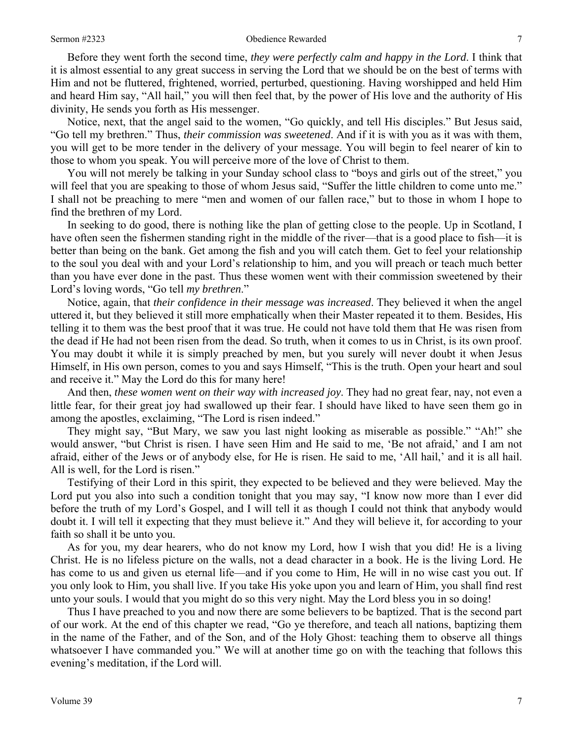Before they went forth the second time, *they were perfectly calm and happy in the Lord*. I think that it is almost essential to any great success in serving the Lord that we should be on the best of terms with Him and not be fluttered, frightened, worried, perturbed, questioning. Having worshipped and held Him and heard Him say, "All hail," you will then feel that, by the power of His love and the authority of His divinity, He sends you forth as His messenger.

Notice, next, that the angel said to the women, "Go quickly, and tell His disciples." But Jesus said, "Go tell my brethren." Thus, *their commission was sweetened*. And if it is with you as it was with them, you will get to be more tender in the delivery of your message. You will begin to feel nearer of kin to those to whom you speak. You will perceive more of the love of Christ to them.

You will not merely be talking in your Sunday school class to "boys and girls out of the street," you will feel that you are speaking to those of whom Jesus said, "Suffer the little children to come unto me." I shall not be preaching to mere "men and women of our fallen race," but to those in whom I hope to find the brethren of my Lord.

In seeking to do good, there is nothing like the plan of getting close to the people. Up in Scotland, I have often seen the fishermen standing right in the middle of the river—that is a good place to fish—it is better than being on the bank. Get among the fish and you will catch them. Get to feel your relationship to the soul you deal with and your Lord's relationship to him, and you will preach or teach much better than you have ever done in the past. Thus these women went with their commission sweetened by their Lord's loving words, "Go tell *my brethren*."

Notice, again, that *their confidence in their message was increased*. They believed it when the angel uttered it, but they believed it still more emphatically when their Master repeated it to them. Besides, His telling it to them was the best proof that it was true. He could not have told them that He was risen from the dead if He had not been risen from the dead. So truth, when it comes to us in Christ, is its own proof. You may doubt it while it is simply preached by men, but you surely will never doubt it when Jesus Himself, in His own person, comes to you and says Himself, "This is the truth. Open your heart and soul and receive it." May the Lord do this for many here!

And then, *these women went on their way with increased joy*. They had no great fear, nay, not even a little fear, for their great joy had swallowed up their fear. I should have liked to have seen them go in among the apostles, exclaiming, "The Lord is risen indeed."

They might say, "But Mary, we saw you last night looking as miserable as possible." "Ah!" she would answer, "but Christ is risen. I have seen Him and He said to me, 'Be not afraid,' and I am not afraid, either of the Jews or of anybody else, for He is risen. He said to me, 'All hail,' and it is all hail. All is well, for the Lord is risen."

Testifying of their Lord in this spirit, they expected to be believed and they were believed. May the Lord put you also into such a condition tonight that you may say, "I know now more than I ever did before the truth of my Lord's Gospel, and I will tell it as though I could not think that anybody would doubt it. I will tell it expecting that they must believe it." And they will believe it, for according to your faith so shall it be unto you.

As for you, my dear hearers, who do not know my Lord, how I wish that you did! He is a living Christ. He is no lifeless picture on the walls, not a dead character in a book. He is the living Lord. He has come to us and given us eternal life—and if you come to Him, He will in no wise cast you out. If you only look to Him, you shall live. If you take His yoke upon you and learn of Him, you shall find rest unto your souls. I would that you might do so this very night. May the Lord bless you in so doing!

Thus I have preached to you and now there are some believers to be baptized. That is the second part of our work. At the end of this chapter we read, "Go ye therefore, and teach all nations, baptizing them in the name of the Father, and of the Son, and of the Holy Ghost: teaching them to observe all things whatsoever I have commanded you." We will at another time go on with the teaching that follows this evening's meditation, if the Lord will.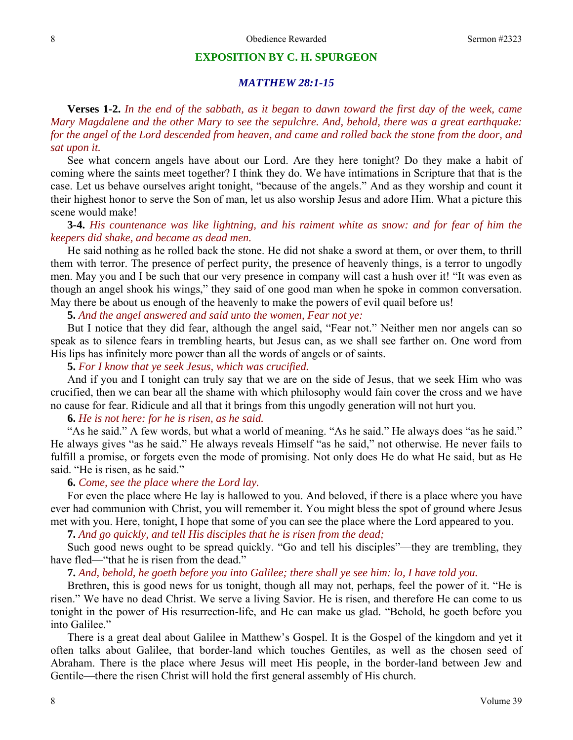#### **EXPOSITION BY C. H. SPURGEON**

### *MATTHEW 28:1-15*

**Verses 1-2.** *In the end of the sabbath, as it began to dawn toward the first day of the week, came Mary Magdalene and the other Mary to see the sepulchre. And, behold, there was a great earthquake: for the angel of the Lord descended from heaven, and came and rolled back the stone from the door, and sat upon it.*

See what concern angels have about our Lord. Are they here tonight? Do they make a habit of coming where the saints meet together? I think they do. We have intimations in Scripture that that is the case. Let us behave ourselves aright tonight, "because of the angels." And as they worship and count it their highest honor to serve the Son of man, let us also worship Jesus and adore Him. What a picture this scene would make!

### **3-4.** *His countenance was like lightning, and his raiment white as snow: and for fear of him the keepers did shake, and became as dead men.*

He said nothing as he rolled back the stone. He did not shake a sword at them, or over them, to thrill them with terror. The presence of perfect purity, the presence of heavenly things, is a terror to ungodly men. May you and I be such that our very presence in company will cast a hush over it! "It was even as though an angel shook his wings," they said of one good man when he spoke in common conversation. May there be about us enough of the heavenly to make the powers of evil quail before us!

**5.** *And the angel answered and said unto the women, Fear not ye:* 

But I notice that they did fear, although the angel said, "Fear not." Neither men nor angels can so speak as to silence fears in trembling hearts, but Jesus can, as we shall see farther on. One word from His lips has infinitely more power than all the words of angels or of saints.

### **5.** *For I know that ye seek Jesus, which was crucified.*

And if you and I tonight can truly say that we are on the side of Jesus, that we seek Him who was crucified, then we can bear all the shame with which philosophy would fain cover the cross and we have no cause for fear. Ridicule and all that it brings from this ungodly generation will not hurt you.

### **6.** *He is not here: for he is risen, as he said.*

"As he said." A few words, but what a world of meaning. "As he said." He always does "as he said." He always gives "as he said." He always reveals Himself "as he said," not otherwise. He never fails to fulfill a promise, or forgets even the mode of promising. Not only does He do what He said, but as He said. "He is risen, as he said."

### **6.** *Come, see the place where the Lord lay.*

For even the place where He lay is hallowed to you. And beloved, if there is a place where you have ever had communion with Christ, you will remember it. You might bless the spot of ground where Jesus met with you. Here, tonight, I hope that some of you can see the place where the Lord appeared to you.

**7.** *And go quickly, and tell His disciples that he is risen from the dead;* 

Such good news ought to be spread quickly. "Go and tell his disciples"—they are trembling, they have fled—"that he is risen from the dead."

#### **7.** *And, behold, he goeth before you into Galilee; there shall ye see him: lo, I have told you.*

Brethren, this is good news for us tonight, though all may not, perhaps, feel the power of it. "He is risen." We have no dead Christ. We serve a living Savior. He is risen, and therefore He can come to us tonight in the power of His resurrection-life, and He can make us glad. "Behold, he goeth before you into Galilee."

There is a great deal about Galilee in Matthew's Gospel. It is the Gospel of the kingdom and yet it often talks about Galilee, that border-land which touches Gentiles, as well as the chosen seed of Abraham. There is the place where Jesus will meet His people, in the border-land between Jew and Gentile—there the risen Christ will hold the first general assembly of His church.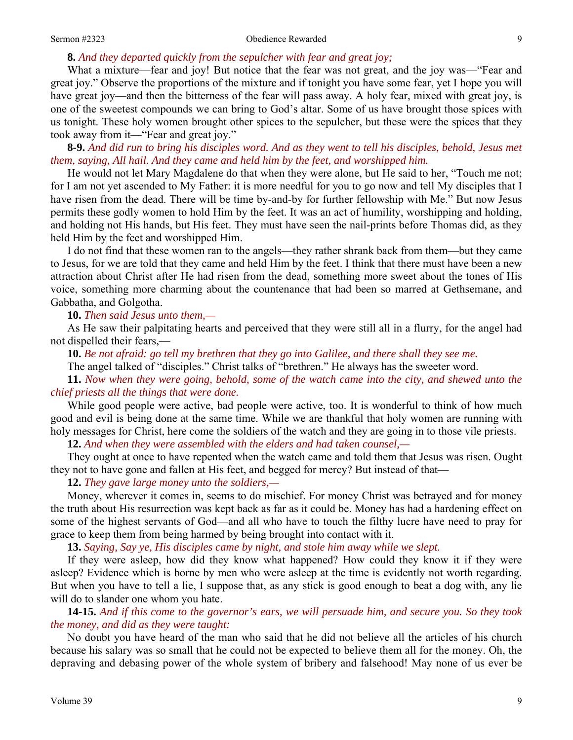#### Sermon #2323 Obedience Rewarded 9

### **8.** *And they departed quickly from the sepulcher with fear and great joy;*

What a mixture—fear and joy! But notice that the fear was not great, and the joy was—"Fear and great joy." Observe the proportions of the mixture and if tonight you have some fear, yet I hope you will have great joy—and then the bitterness of the fear will pass away. A holy fear, mixed with great joy, is one of the sweetest compounds we can bring to God's altar. Some of us have brought those spices with us tonight. These holy women brought other spices to the sepulcher, but these were the spices that they took away from it—"Fear and great joy."

**8-9.** *And did run to bring his disciples word. And as they went to tell his disciples, behold, Jesus met them, saying, All hail. And they came and held him by the feet, and worshipped him.* 

He would not let Mary Magdalene do that when they were alone, but He said to her, "Touch me not; for I am not yet ascended to My Father: it is more needful for you to go now and tell My disciples that I have risen from the dead. There will be time by-and-by for further fellowship with Me." But now Jesus permits these godly women to hold Him by the feet. It was an act of humility, worshipping and holding, and holding not His hands, but His feet. They must have seen the nail-prints before Thomas did, as they held Him by the feet and worshipped Him.

I do not find that these women ran to the angels—they rather shrank back from them—but they came to Jesus, for we are told that they came and held Him by the feet. I think that there must have been a new attraction about Christ after He had risen from the dead, something more sweet about the tones of His voice, something more charming about the countenance that had been so marred at Gethsemane, and Gabbatha, and Golgotha.

**10.** *Then said Jesus unto them,—* 

As He saw their palpitating hearts and perceived that they were still all in a flurry, for the angel had not dispelled their fears,—

**10.** *Be not afraid: go tell my brethren that they go into Galilee, and there shall they see me.* 

The angel talked of "disciples." Christ talks of "brethren." He always has the sweeter word.

**11.** *Now when they were going, behold, some of the watch came into the city, and shewed unto the chief priests all the things that were done.* 

While good people were active, bad people were active, too. It is wonderful to think of how much good and evil is being done at the same time. While we are thankful that holy women are running with holy messages for Christ, here come the soldiers of the watch and they are going in to those vile priests.

**12.** *And when they were assembled with the elders and had taken counsel,—* 

They ought at once to have repented when the watch came and told them that Jesus was risen. Ought they not to have gone and fallen at His feet, and begged for mercy? But instead of that—

**12.** *They gave large money unto the soldiers,—* 

Money, wherever it comes in, seems to do mischief. For money Christ was betrayed and for money the truth about His resurrection was kept back as far as it could be. Money has had a hardening effect on some of the highest servants of God—and all who have to touch the filthy lucre have need to pray for grace to keep them from being harmed by being brought into contact with it.

**13.** *Saying, Say ye, His disciples came by night, and stole him away while we slept.*

If they were asleep, how did they know what happened? How could they know it if they were asleep? Evidence which is borne by men who were asleep at the time is evidently not worth regarding. But when you have to tell a lie, I suppose that, as any stick is good enough to beat a dog with, any lie will do to slander one whom you hate.

**14-15.** *And if this come to the governor's ears, we will persuade him, and secure you. So they took the money, and did as they were taught:* 

No doubt you have heard of the man who said that he did not believe all the articles of his church because his salary was so small that he could not be expected to believe them all for the money. Oh, the depraving and debasing power of the whole system of bribery and falsehood! May none of us ever be